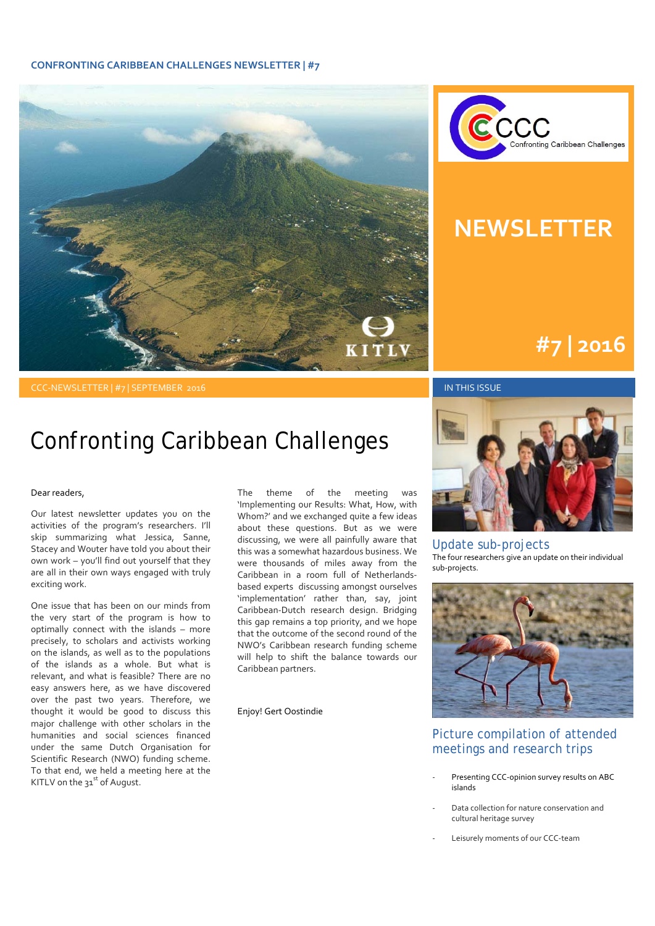#### **CONFRONTING CARIBBEAN CHALLENGES NEWSLETTER | #7**





### **NEWSLETTER**

### **#1 | 2015 #7 | 2016**

#### CCC-NEWSLETTER | #7 | SEPTEMBER 2016 IN THIS ISSUE IN THIS ISSUE

### Confronting Caribbean Challenges

#### Dear readers,

Our latest newsletter updates you on the activities of the program's researchers. I'll skip summarizing what Jessica, Sanne, Stacey and Wouter have told you about their own work – you'll find out yourself that they are all in their own ways engaged with truly exciting work.

One issue that has been on our minds from the very start of the program is how to optimally connect with the islands – more precisely, to scholars and activists working on the islands, as well as to the populations of the islands as a whole. But what is relevant, and what is feasible? There are no easy answers here, as we have discovered over the past two years. Therefore, we thought it would be good to discuss this major challenge with other scholars in the humanities and social sciences financed under the same Dutch Organisation for Scientific Research (NWO) funding scheme. To that end, we held a meeting here at the KITLV on the  $31<sup>st</sup>$  of August.

The theme of the meeting was 'Implementing our Results: What, How, with Whom?' and we exchanged quite a few ideas about these questions. But as we were discussing, we were all painfully aware that this was a somewhat hazardous business. We were thousands of miles away from the Caribbean in a room full of Netherlands‐ based experts discussing amongst ourselves 'implementation' rather than, say, joint Caribbean‐Dutch research design. Bridging this gap remains a top priority, and we hope that the outcome of the second round of the NWO's Caribbean research funding scheme will help to shift the balance towards our Caribbean partners.

Enjoy! Gert Oostindie



#### Update sub-projects

The four researchers give an update on their individual sub‐projects.



### Picture compilation of attended meetings and research trips

- ‐ Presenting CCC‐opinion survey results on ABC islands
- ‐ Data collection for nature conservation and cultural heritage survey
- Leisurely moments of our CCC-team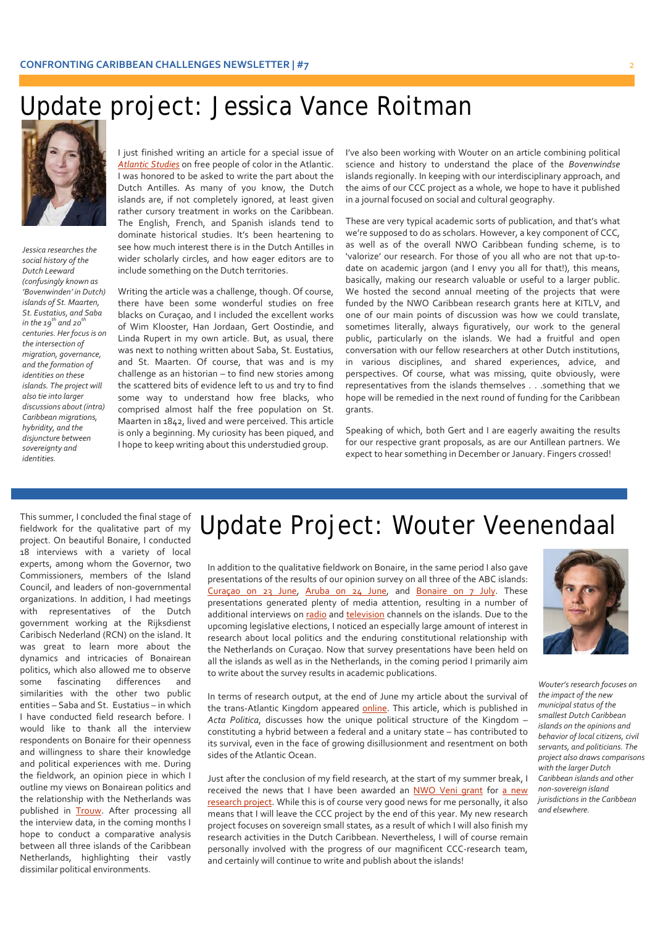## Update project: Jessica Vance Roitman



*Jessica researches the social history of the Dutch Leeward (confusingly known as 'Bovenwinden' in Dutch) islands of St. Maarten, St. Eustatius, and Saba in the*  $19^{th}$  *and*  $20^{th}$ *centuries. Her focusis on the intersection of migration, governance, and the formation of identities on these islands. The project will also tie into larger discussions about (intra) Caribbean migrations, hybridity, and the disjuncture between sovereignty and identities.*

I just finished writing an article for a special issue of *Atlantic Studies* on free people of color in the Atlantic. I was honored to be asked to write the part about the Dutch Antilles. As many of you know, the Dutch islands are, if not completely ignored, at least given rather cursory treatment in works on the Caribbean. The English, French, and Spanish islands tend to dominate historical studies. It's been heartening to see how much interest there is in the Dutch Antilles in wider scholarly circles, and how eager editors are to include something on the Dutch territories.

Writing the article was a challenge, though. Of course, there have been some wonderful studies on free blacks on Curaçao, and I included the excellent works of Wim Klooster, Han Jordaan, Gert Oostindie, and Linda Rupert in my own article. But, as usual, there was next to nothing written about Saba, St. Eustatius, and St. Maarten. Of course, that was and is my challenge as an historian – to find new stories among the scattered bits of evidence left to us and try to find some way to understand how free blacks, who comprised almost half the free population on St. Maarten in 1842, lived and were perceived. This article is only a beginning. My curiosity has been piqued, and I hope to keep writing about this understudied group.

I've also been working with Wouter on an article combining political science and history to understand the place of the *Bovenwindse* islands regionally. In keeping with our interdisciplinary approach, and the aims of our CCC project as a whole, we hope to have it published in a journal focused on social and cultural geography.

on eager earlies are to date on academic jargon (and I envy you all for that!), this means, These are very typical academic sorts of publication, and that's what we're supposed to do as scholars. However, a key component of CCC, as well as of the overall NWO Caribbean funding scheme, is to 'valorize' our research. For those of you all who are not that up‐to‐ basically, making our research valuable or useful to a larger public. We hosted the second annual meeting of the projects that were funded by the NWO Caribbean research grants here at KITLV, and one of our main points of discussion was how we could translate, sometimes literally, always figuratively, our work to the general public, particularly on the islands. We had a fruitful and open conversation with our fellow researchers at other Dutch institutions, in various disciplines, and shared experiences, advice, and perspectives. Of course, what was missing, quite obviously, were representatives from the islands themselves . . .something that we hope will be remedied in the next round of funding for the Caribbean grants.

> Speaking of which, both Gert and I are eagerly awaiting the results for our respective grant proposals, as are our Antillean partners. We expect to hear something in December or January. Fingers crossed!

This summer, I concluded the final stage of fieldwork for the qualitative part of my project. On beautiful Bonaire, I conducted 18 interviews with a variety of local experts, among whom the Governor, two Commissioners, members of the Island Council, and leaders of non‐governmental organizations. In addition, I had meetings with representatives of the Dutch government working at the Rijksdienst Caribisch Nederland (RCN) on the island. It was great to learn more about the dynamics and intricacies of Bonairean politics, which also allowed me to observe some fascinating differences and similarities with the other two public entities – Saba and St. Eustatius – in which I have conducted field research before. I would like to thank all the interview respondents on Bonaire for their openness and willingness to share their knowledge and political experiences with me. During the fieldwork, an opinion piece in which I outline my views on Bonairean politics and the relationship with the Netherlands was published in **Trouw**. After processing all the interview data, in the coming months I hope to conduct a comparative analysis between all three islands of the Caribbean Netherlands, highlighting their vastly dissimilar political environments.

### Update Project: Wouter Veenendaal

In addition to the qualitative fieldwork on Bonaire, in the same period I also gave presentations of the results of our opinion survey on all three of the ABC islands: Curaçao on 23 June, Aruba on 24 June, and Bonaire on 7 July. These presentations generated plenty of media attention, resulting in a number of additional interviews on radio and television channels on the islands. Due to the upcoming legislative elections, I noticed an especially large amount of interest in research about local politics and the enduring constitutional relationship with the Netherlands on Curaçao. Now that survey presentations have been held on all the islands as well as in the Netherlands, in the coming period I primarily aim to write about the survey results in academic publications.

In terms of research output, at the end of June my article about the survival of the trans-Atlantic Kingdom appeared online. This article, which is published in *Acta Politica*, discusses how the unique political structure of the Kingdom – constituting a hybrid between a federal and a unitary state – has contributed to its survival, even in the face of growing disillusionment and resentment on both sides of the Atlantic Ocean.

Just after the conclusion of my field research, at the start of my summer break, I received the news that I have been awarded an NWO Veni grant for a new research project. While this is of course very good news for me personally, it also means that I will leave the CCC project by the end of this year. My new research project focuses on sovereign small states, as a result of which I will also finish my research activities in the Dutch Caribbean. Nevertheless, I will of course remain personally involved with the progress of our magnificent CCC-research team, and certainly will continue to write and publish about the islands!



*Wouter's research focuses on the impact of the new municipal status of the smallest Dutch Caribbean islands on the opinions and behavior of local citizens, civil servants, and politicians. The project also draws comparisons with the larger Dutch Caribbean islands and other non‐sovereign island jurisdictionsin the Caribbean and elsewhere.*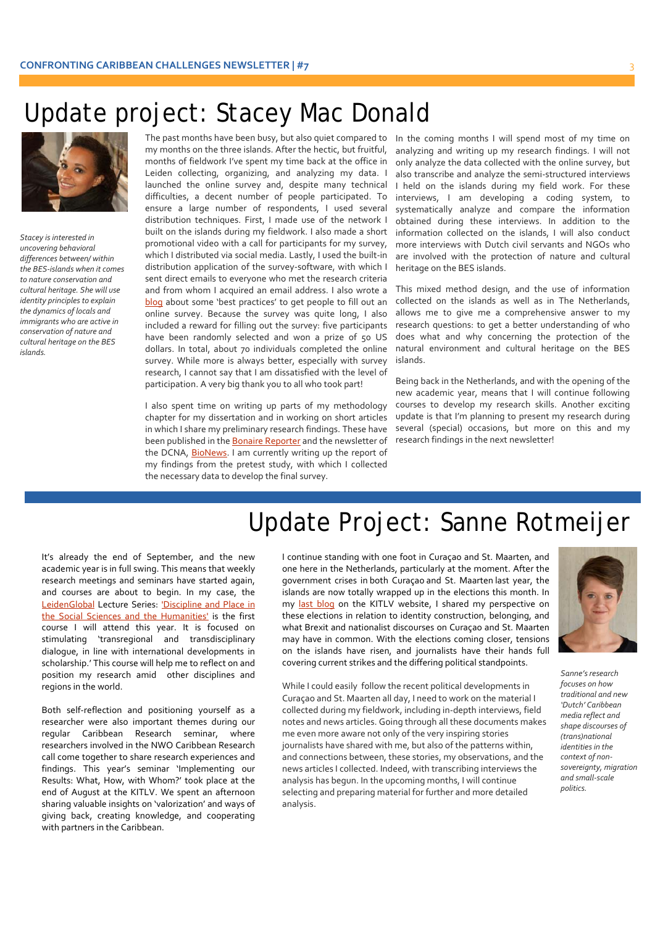### Update project: Stacey Mac Donald



 *the dynamics of locals and conservation of nature and Stacey isinterested in uncovering behavioral differences between/ within the BES‐islands when it comes to nature conservation and cultural heritage. She will use identity principlesto explain immigrants who are active in cultural heritage on the BES islands.*

The past months have been busy, but also quiet compared to In the coming months I will spend most of my time on my months on the three islands. After the hectic, but fruitful, months of fieldwork I've spent my time back at the office in Leiden collecting, organizing, and analyzing my data. I launched the online survey and, despite many technical difficulties, a decent number of people participated. To ensure a large number of respondents, I used several distribution techniques. First, I made use of the network I built on the islands during my fieldwork. I also made a short promotional video with a call for participants for my survey, which I distributed via social media. Lastly, I used the built-in distribution application of the survey‐software, with which I sent direct emails to everyone who met the research criteria and from whom I acquired an email address. I also wrote a blog about some 'best practices' to get people to fill out an online survey. Because the survey was quite long, I also included a reward for filling out the survey: five participants have been randomly selected and won a prize of 50 US dollars. In total, about 70 individuals completed the online survey. While more is always better, especially with survey research, I cannot say that I am dissatisfied with the level of participation. A very big thank you to all who took part!

I also spent time on writing up parts of my methodology chapter for my dissertation and in working on short articles in which I share my preliminary research findings. These have been published in the Bonaire Reporter and the newsletter of the DCNA, **BioNews**. I am currently writing up the report of my findings from the pretest study, with which I collected the necessary data to develop the final survey.

analyzing and writing up my research findings. I will not only analyze the data collected with the online survey, but also transcribe and analyze the semi‐structured interviews I held on the islands during my field work. For these interviews, I am developing a coding system, to systematically analyze and compare the information obtained during these interviews. In addition to the information collected on the islands, I will also conduct more interviews with Dutch civil servants and NGOs who are involved with the protection of nature and cultural heritage on the BES islands.

This mixed method design, and the use of information collected on the islands as well as in The Netherlands, allows me to give me a comprehensive answer to my research questions: to get a better understanding of who does what and why concerning the protection of the natural environment and cultural heritage on the BES islands.

Being back in the Netherlands, and with the opening of the new academic year, means that I will continue following courses to develop my research skills. Another exciting update is that I'm planning to present my research during several (special) occasions, but more on this and my research findings in the next newsletter!

# Update Project: Sanne Rotmeijer

It's already the end of September, and the new academic year is in full swing. This means that weekly research meetings and seminars have started again, and courses are about to begin. In my case, the LeidenGlobal Lecture Series: 'Discipline and Place in the Social Sciences and the Humanities' is the first course I will attend this year. It is focused on stimulating 'transregional and transdisciplinary dialogue, in line with international developments in scholarship.' This course will help me to reflect on and position my research amid other disciplines and regions in the world.

Both self‐reflection and positioning yourself as a researcher were also important themes during our regular Caribbean Research seminar, where researchers involved in the NWO Caribbean Research call come together to share research experiences and findings. This year's seminar 'Implementing our Results: What, How, with Whom?' took place at the end of August at the KITLV. We spent an afternoon sharing valuable insights on 'valorization' and ways of giving back, creating knowledge, and cooperating with partners in the Caribbean.

I continue standing with one foot in Curaçao and St. Maarten, and one here in the Netherlands, particularly at the moment. After the government crises in both Curaçao and St. Maarten last year, the islands are now totally wrapped up in the elections this month. In my last blog on the KITLV website, I shared my perspective on these elections in relation to identity construction, belonging, and what Brexit and nationalist discourses on Curaçao and St. Maarten may have in common. With the elections coming closer, tensions on the islands have risen, and journalists have their hands full covering current strikes and the differing political standpoints.

While I could easily follow the recent political developments in Curaçao and St. Maarten all day, I need to work on the material I collected during my fieldwork, including in‐depth interviews, field notes and news articles. Going through all these documents makes me even more aware not only of the very inspiring stories journalists have shared with me, but also of the patterns within, and connections between, these stories, my observations, and the news articles I collected. Indeed, with transcribing interviews the analysis has begun. In the upcoming months, I will continue selecting and preparing material for further and more detailed analysis.



Sanne's research *focuses on how traditional and new 'Dutch' Caribbean media reflect and shape discourses of (trans)national identitiesin the context of non‐ sovereignty, migration and small‐scale politics.*